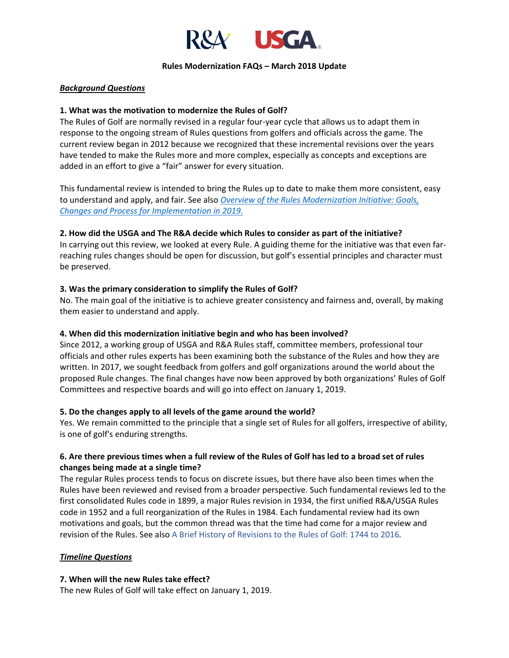

#### **Rules Modernization FAQs – March 2018 Update**

#### *Background Questions*

#### **1. What was the motivation to modernize the Rules of Golf?**

The Rules of Golf are normally revised in a regular four-year cycle that allows us to adapt them in response to the ongoing stream of Rules questions from golfers and officials across the game. The current review began in 2012 because we recognized that these incremental revisions over the years have tended to make the Rules more and more complex, especially as concepts and exceptions are added in an effort to give a "fair" answer for every situation.

This fundamental review is intended to bring the Rules up to date to make them more consistent, easy to understand and apply, and fair. See also *[Overview of the Rules Modernization Initiative: Goals,](https://rules.golf.randadigital.com/~/media/RulesDotGolf/March-Update-2018-DPFs/Overview-of-the-Rules-Modernisation-Initiative.ashx)  [Changes and Process for Implementation in 2019.](https://rules.golf.randadigital.com/~/media/RulesDotGolf/March-Update-2018-DPFs/Overview-of-the-Rules-Modernisation-Initiative.ashx)*

#### **2. How did the USGA and The R&A decide which Rules to consider as part of the initiative?**

In carrying out this review, we looked at every Rule. A guiding theme for the initiative was that even farreaching rules changes should be open for discussion, but golf's essential principles and character must be preserved.

#### **3. Was the primary consideration to simplify the Rules of Golf?**

No. The main goal of the initiative is to achieve greater consistency and fairness and, overall, by making them easier to understand and apply.

#### **4. When did this modernization initiative begin and who has been involved?**

Since 2012, a working group of USGA and R&A Rules staff, committee members, professional tour officials and other rules experts has been examining both the substance of the Rules and how they are written. In 2017, we sought feedback from golfers and golf organizations around the world about the proposed Rule changes. The final changes have now been approved by both organizations' Rules of Golf Committees and respective boards and will go into effect on January 1, 2019.

#### **5. Do the changes apply to all levels of the game around the world?**

Yes. We remain committed to the principle that a single set of Rules for all golfers, irrespective of ability, is one of golf's enduring strengths.

## **6. Are there previous times when a full review of the Rules of Golf has led to a broad set of rules changes being made at a single time?**

The regular Rules process tends to focus on discrete issues, but there have also been times when the Rules have been reviewed and revised from a broader perspective. Such fundamental reviews led to the first consolidated Rules code in 1899, a major Rules revision in 1934, the first unified R&A/USGA Rules code in 1952 and a full reorganization of the Rules in 1984. Each fundamental review had its own motivations and goals, but the common thread was that the time had come for a major review and revision of the Rules. See also A Brief History of Revisions to the Rules of Golf: 1744 to 2016*.*

### *Timeline Questions*

#### **7. When will the new Rules take effect?**

The new Rules of Golf will take effect on January 1, 2019.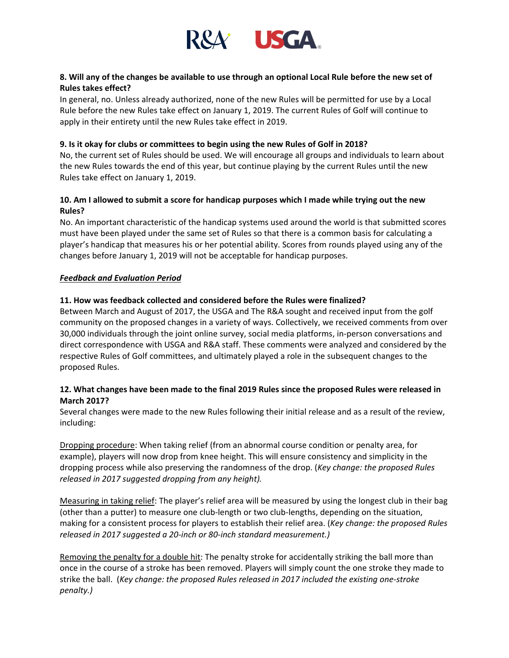

# **8. Will any of the changes be available to use through an optional Local Rule before the new set of Rules takes effect?**

In general, no. Unless already authorized, none of the new Rules will be permitted for use by a Local Rule before the new Rules take effect on January 1, 2019. The current Rules of Golf will continue to apply in their entirety until the new Rules take effect in 2019.

### **9. Is it okay for clubs or committees to begin using the new Rules of Golf in 2018?**

No, the current set of Rules should be used. We will encourage all groups and individuals to learn about the new Rules towards the end of this year, but continue playing by the current Rules until the new Rules take effect on January 1, 2019.

## **10. Am I allowed to submit a score for handicap purposes which I made while trying out the new Rules?**

No. An important characteristic of the handicap systems used around the world is that submitted scores must have been played under the same set of Rules so that there is a common basis for calculating a player's handicap that measures his or her potential ability. Scores from rounds played using any of the changes before January 1, 2019 will not be acceptable for handicap purposes.

## *Feedback and Evaluation Period*

## **11. How was feedback collected and considered before the Rules were finalized?**

Between March and August of 2017, the USGA and The R&A sought and received input from the golf community on the proposed changes in a variety of ways. Collectively, we received comments from over 30,000 individuals through the joint online survey, social media platforms, in-person conversations and direct correspondence with USGA and R&A staff. These comments were analyzed and considered by the respective Rules of Golf committees, and ultimately played a role in the subsequent changes to the proposed Rules.

## **12. What changes have been made to the final 2019 Rules since the proposed Rules were released in March 2017?**

Several changes were made to the new Rules following their initial release and as a result of the review, including:

Dropping procedure: When taking relief (from an abnormal course condition or penalty area, for example), players will now drop from knee height. This will ensure consistency and simplicity in the dropping process while also preserving the randomness of the drop. (*Key change: the proposed Rules released in 2017 suggested dropping from any height).* 

Measuring in taking relief: The player's relief area will be measured by using the longest club in their bag (other than a putter) to measure one club-length or two club-lengths, depending on the situation, making for a consistent process for players to establish their relief area. (*Key change: the proposed Rules released in 2017 suggested a 20-inch or 80-inch standard measurement.)*

Removing the penalty for a double hit: The penalty stroke for accidentally striking the ball more than once in the course of a stroke has been removed. Players will simply count the one stroke they made to strike the ball. (*Key change: the proposed Rules released in 2017 included the existing one-stroke penalty.)*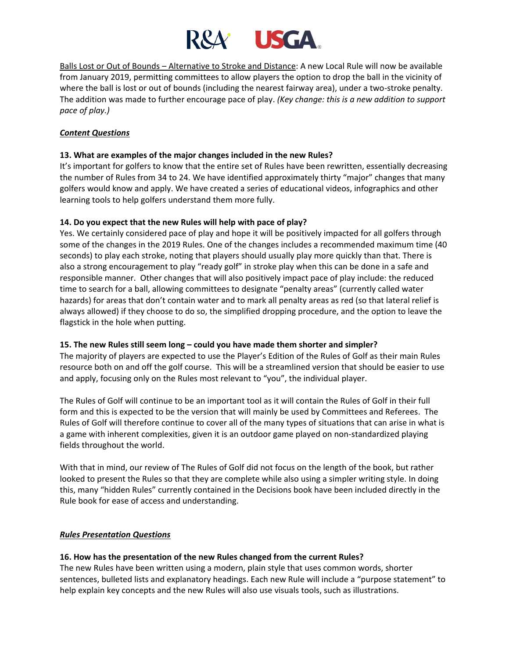

Balls Lost or Out of Bounds – Alternative to Stroke and Distance: A new Local Rule will now be available from January 2019, permitting committees to allow players the option to drop the ball in the vicinity of where the ball is lost or out of bounds (including the nearest fairway area), under a two-stroke penalty. The addition was made to further encourage pace of play. *(Key change: this is a new addition to support pace of play.)*

## *Content Questions*

## **13. What are examples of the major changes included in the new Rules?**

It's important for golfers to know that the entire set of Rules have been rewritten, essentially decreasing the number of Rules from 34 to 24. We have identified approximately thirty "major" changes that many golfers would know and apply. We have created a series of educational videos, infographics and other learning tools to help golfers understand them more fully.

## **14. Do you expect that the new Rules will help with pace of play?**

Yes. We certainly considered pace of play and hope it will be positively impacted for all golfers through some of the changes in the 2019 Rules. One of the changes includes a recommended maximum time (40 seconds) to play each stroke, noting that players should usually play more quickly than that. There is also a strong encouragement to play "ready golf" in stroke play when this can be done in a safe and responsible manner. Other changes that will also positively impact pace of play include: the reduced time to search for a ball, allowing committees to designate "penalty areas" (currently called water hazards) for areas that don't contain water and to mark all penalty areas as red (so that lateral relief is always allowed) if they choose to do so, the simplified dropping procedure, and the option to leave the flagstick in the hole when putting.

### **15. The new Rules still seem long – could you have made them shorter and simpler?**

The majority of players are expected to use the Player's Edition of the Rules of Golf as their main Rules resource both on and off the golf course. This will be a streamlined version that should be easier to use and apply, focusing only on the Rules most relevant to "you", the individual player.

The Rules of Golf will continue to be an important tool as it will contain the Rules of Golf in their full form and this is expected to be the version that will mainly be used by Committees and Referees. The Rules of Golf will therefore continue to cover all of the many types of situations that can arise in what is a game with inherent complexities, given it is an outdoor game played on non-standardized playing fields throughout the world.

With that in mind, our review of The Rules of Golf did not focus on the length of the book, but rather looked to present the Rules so that they are complete while also using a simpler writing style. In doing this, many "hidden Rules" currently contained in the Decisions book have been included directly in the Rule book for ease of access and understanding.

### *Rules Presentation Questions*

### **16. How has the presentation of the new Rules changed from the current Rules?**

The new Rules have been written using a modern, plain style that uses common words, shorter sentences, bulleted lists and explanatory headings. Each new Rule will include a "purpose statement" to help explain key concepts and the new Rules will also use visuals tools, such as illustrations.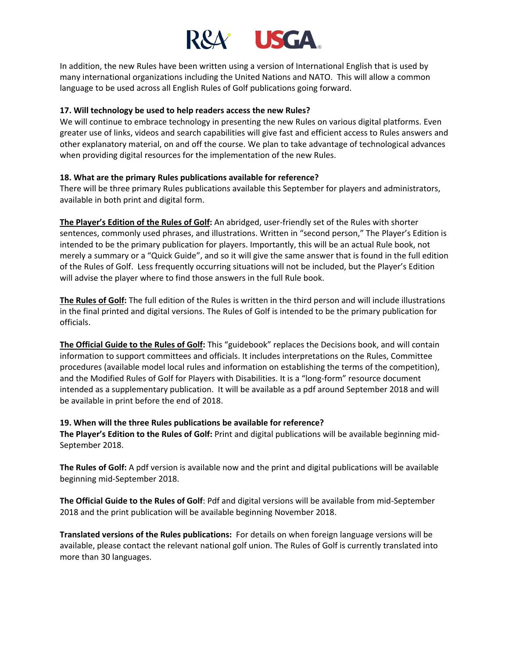

In addition, the new Rules have been written using a version of International English that is used by many international organizations including the United Nations and NATO. This will allow a common language to be used across all English Rules of Golf publications going forward.

#### **17. Will technology be used to help readers access the new Rules?**

We will continue to embrace technology in presenting the new Rules on various digital platforms. Even greater use of links, videos and search capabilities will give fast and efficient access to Rules answers and other explanatory material, on and off the course. We plan to take advantage of technological advances when providing digital resources for the implementation of the new Rules.

#### **18. What are the primary Rules publications available for reference?**

There will be three primary Rules publications available this September for players and administrators, available in both print and digital form.

**The Player's Edition of the Rules of Golf:** An abridged, user-friendly set of the Rules with shorter sentences, commonly used phrases, and illustrations. Written in "second person," The Player's Edition is intended to be the primary publication for players. Importantly, this will be an actual Rule book, not merely a summary or a "Quick Guide", and so it will give the same answer that is found in the full edition of the Rules of Golf. Less frequently occurring situations will not be included, but the Player's Edition will advise the player where to find those answers in the full Rule book.

**The Rules of Golf:** The full edition of the Rules is written in the third person and will include illustrations in the final printed and digital versions. The Rules of Golf is intended to be the primary publication for officials.

**The Official Guide to the Rules of Golf:** This "guidebook" replaces the Decisions book, and will contain information to support committees and officials. It includes interpretations on the Rules, Committee procedures (available model local rules and information on establishing the terms of the competition), and the Modified Rules of Golf for Players with Disabilities. It is a "long-form" resource document intended as a supplementary publication. It will be available as a pdf around September 2018 and will be available in print before the end of 2018.

### **19. When will the three Rules publications be available for reference?**

**The Player's Edition to the Rules of Golf:** Print and digital publications will be available beginning mid-September 2018.

**The Rules of Golf:** A pdf version is available now and the print and digital publications will be available beginning mid-September 2018.

**The Official Guide to the Rules of Golf**: Pdf and digital versions will be available from mid-September 2018 and the print publication will be available beginning November 2018.

**Translated versions of the Rules publications:** For details on when foreign language versions will be available, please contact the relevant national golf union. The Rules of Golf is currently translated into more than 30 languages.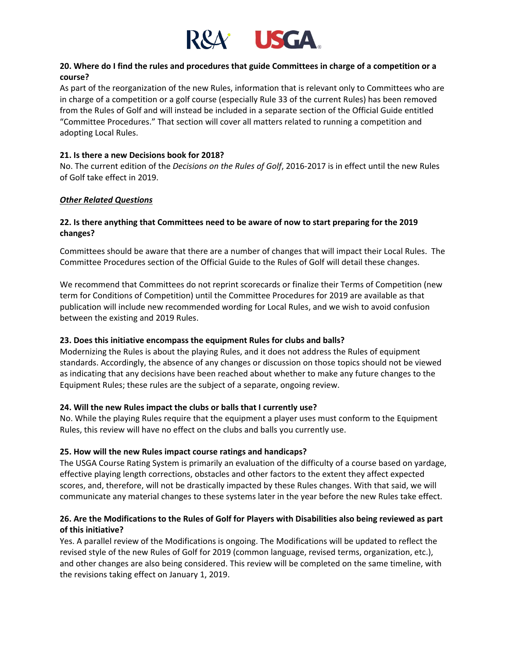

## **20. Where do I find the rules and procedures that guide Committees in charge of a competition or a course?**

As part of the reorganization of the new Rules, information that is relevant only to Committees who are in charge of a competition or a golf course (especially Rule 33 of the current Rules) has been removed from the Rules of Golf and will instead be included in a separate section of the Official Guide entitled "Committee Procedures." That section will cover all matters related to running a competition and adopting Local Rules.

### **21. Is there a new Decisions book for 2018?**

No. The current edition of the *Decisions on the Rules of Golf*, 2016-2017 is in effect until the new Rules of Golf take effect in 2019.

## *Other Related Questions*

# **22. Is there anything that Committees need to be aware of now to start preparing for the 2019 changes?**

Committees should be aware that there are a number of changes that will impact their Local Rules. The Committee Procedures section of the Official Guide to the Rules of Golf will detail these changes.

We recommend that Committees do not reprint scorecards or finalize their Terms of Competition (new term for Conditions of Competition) until the Committee Procedures for 2019 are available as that publication will include new recommended wording for Local Rules, and we wish to avoid confusion between the existing and 2019 Rules.

# **23. Does this initiative encompass the equipment Rules for clubs and balls?**

Modernizing the Rules is about the playing Rules, and it does not address the Rules of equipment standards. Accordingly, the absence of any changes or discussion on those topics should not be viewed as indicating that any decisions have been reached about whether to make any future changes to the Equipment Rules; these rules are the subject of a separate, ongoing review.

# **24. Will the new Rules impact the clubs or balls that I currently use?**

No. While the playing Rules require that the equipment a player uses must conform to the Equipment Rules, this review will have no effect on the clubs and balls you currently use.

### **25. How will the new Rules impact course ratings and handicaps?**

The USGA Course Rating System is primarily an evaluation of the difficulty of a course based on yardage, effective playing length corrections, obstacles and other factors to the extent they affect expected scores, and, therefore, will not be drastically impacted by these Rules changes. With that said, we will communicate any material changes to these systems later in the year before the new Rules take effect.

# **26. Are the Modifications to the Rules of Golf for Players with Disabilities also being reviewed as part of this initiative?**

Yes. A parallel review of the Modifications is ongoing. The Modifications will be updated to reflect the revised style of the new Rules of Golf for 2019 (common language, revised terms, organization, etc.), and other changes are also being considered. This review will be completed on the same timeline, with the revisions taking effect on January 1, 2019.